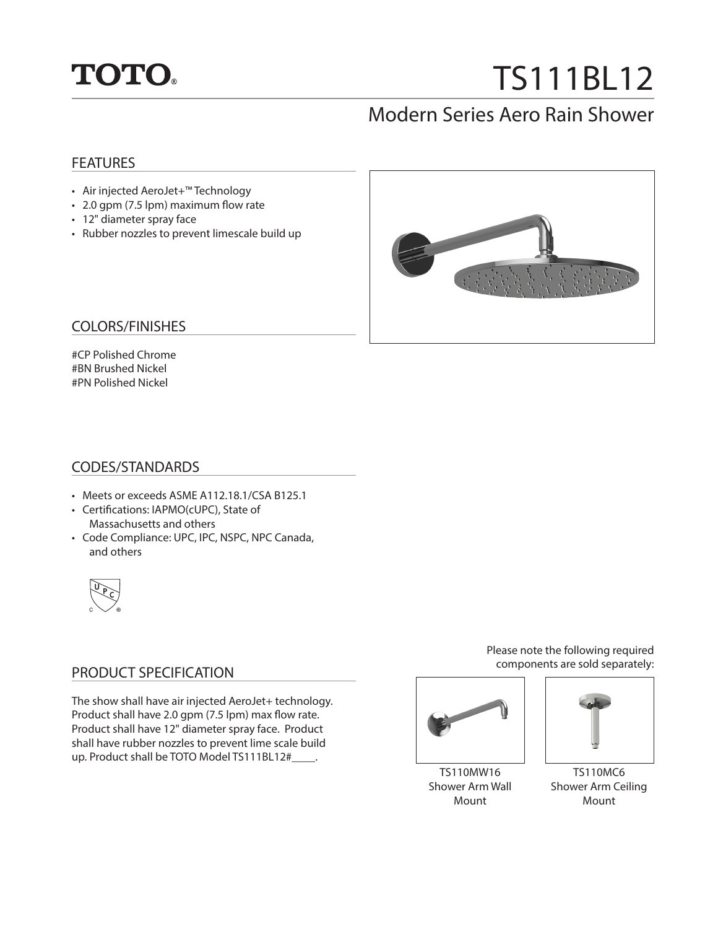

# TS111BL12

# Modern Series Aero Rain Shower

#### **FEATURES**

- Air injected AeroJet+™ Technology
- 2.0 gpm (7.5 lpm) maximum flow rate
- 12" diameter spray face
- Rubber nozzles to prevent limescale build up



#### COLORS/FINISHES

#CP Polished Chrome #BN Brushed Nickel #PN Polished Nickel

#### CODES/STANDARDS

- Meets or exceeds ASME A112.18.1/CSA B125.1
- Certifications: IAPMO(cUPC), State of Massachusetts and others
- Code Compliance: UPC, IPC, NSPC, NPC Canada, and others



### PRODUCT SPECIFICATION

The show shall have air injected AeroJet+ technology. Product shall have 2.0 gpm (7.5 lpm) max flow rate. Product shall have 12" diameter spray face. Product shall have rubber nozzles to prevent lime scale build up. Product shall be TOTO Model TS111BL12#\_\_\_\_.

Please note the following required components are sold separately:



TS110MW16 Shower Arm Wall Mount



TS110MC6 Shower Arm Ceiling Mount